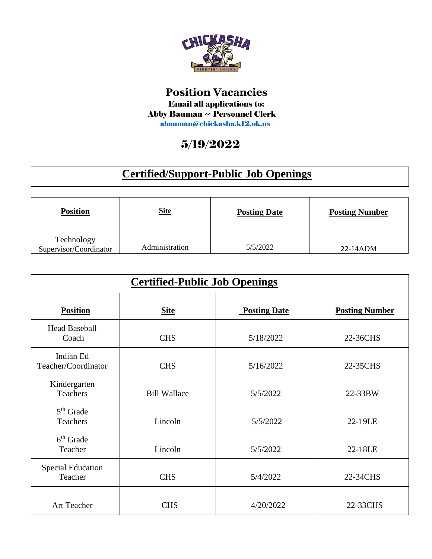

## **Position Vacancies** Email all applications to: Abby Bauman ~ Personnel Clerk abauman@chickasha.k12.ok.us

## 5/19/2022

## **Certified/Support-Public Job Openings**

| <b>Position</b>                      | <b>Site</b>    | <b>Posting Date</b> | <b>Posting Number</b> |
|--------------------------------------|----------------|---------------------|-----------------------|
| Technology<br>Supervisor/Coordinator | Administration | 5/5/2022            | 22-14ADM              |

| <b>Certified-Public Job Openings</b> |                     |                     |                       |
|--------------------------------------|---------------------|---------------------|-----------------------|
| <b>Position</b>                      | <b>Site</b>         | <b>Posting Date</b> | <b>Posting Number</b> |
| <b>Head Baseball</b><br>Coach        | <b>CHS</b>          | 5/18/2022           | 22-36CHS              |
| Indian Ed<br>Teacher/Coordinator     | <b>CHS</b>          | 5/16/2022           | 22-35CHS              |
| Kindergarten<br>Teachers             | <b>Bill Wallace</b> | 5/5/2022            | 22-33BW               |
| $5th$ Grade<br>Teachers              | Lincoln             | 5/5/2022            | 22-19LE               |
| $6th$ Grade<br>Teacher               | Lincoln             | 5/5/2022            | 22-18LE               |
| <b>Special Education</b><br>Teacher  | <b>CHS</b>          | 5/4/2022            | 22-34CHS              |
| <b>Art Teacher</b>                   | <b>CHS</b>          | 4/20/2022           | 22-33CHS              |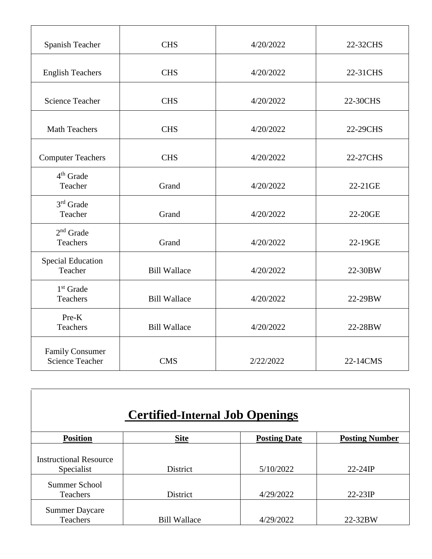| Spanish Teacher                                  | <b>CHS</b>          | 4/20/2022 | 22-32CHS |
|--------------------------------------------------|---------------------|-----------|----------|
| <b>English Teachers</b>                          | <b>CHS</b>          | 4/20/2022 | 22-31CHS |
| <b>Science Teacher</b>                           | <b>CHS</b>          | 4/20/2022 | 22-30CHS |
| <b>Math Teachers</b>                             | <b>CHS</b>          | 4/20/2022 | 22-29CHS |
| <b>Computer Teachers</b>                         | <b>CHS</b>          | 4/20/2022 | 22-27CHS |
| 4 <sup>th</sup> Grade<br>Teacher                 | Grand               | 4/20/2022 | 22-21GE  |
| $3rd$ Grade<br>Teacher                           | Grand               | 4/20/2022 | 22-20GE  |
| $2nd$ Grade<br><b>Teachers</b>                   | Grand               | 4/20/2022 | 22-19GE  |
| <b>Special Education</b><br>Teacher              | <b>Bill Wallace</b> | 4/20/2022 | 22-30BW  |
| $1st$ Grade<br><b>Teachers</b>                   | <b>Bill Wallace</b> | 4/20/2022 | 22-29BW  |
| Pre-K<br><b>Teachers</b>                         | <b>Bill Wallace</b> | 4/20/2022 | 22-28BW  |
| <b>Family Consumer</b><br><b>Science Teacher</b> | <b>CMS</b>          | 2/22/2022 | 22-14CMS |

| <b>Certified-Internal Job Openings</b>      |                     |                     |                       |
|---------------------------------------------|---------------------|---------------------|-----------------------|
| <b>Position</b>                             | <b>Site</b>         | <b>Posting Date</b> | <b>Posting Number</b> |
| <b>Instructional Resource</b><br>Specialist | District            | 5/10/2022           | $22-24IP$             |
| <b>Summer School</b><br>Teachers            | District            | 4/29/2022           | $22-23IP$             |
| <b>Summer Daycare</b><br>Teachers           | <b>Bill Wallace</b> | 4/29/2022           | 22-32BW               |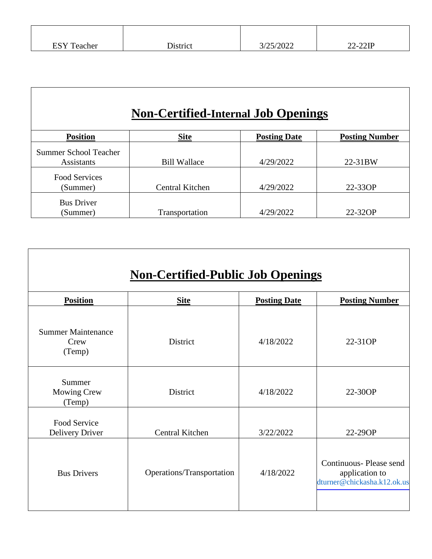| CCV<br>eacher<br>⊥ טרד | ∽<br>District | 0.00<br>3/25/2022 | $-22IF$<br>$\mathbf{A}$<br>24- C |
|------------------------|---------------|-------------------|----------------------------------|

 $\mathsf{l}$ 

Τ

H

## **Non-Certified-Internal Job Openings**

| <b>Position</b>              | <b>Site</b>         | <b>Posting Date</b> | <b>Posting Number</b> |
|------------------------------|---------------------|---------------------|-----------------------|
| <b>Summer School Teacher</b> |                     |                     |                       |
| <b>Assistants</b>            | <b>Bill Wallace</b> | 4/29/2022           | 22-31BW               |
| <b>Food Services</b>         |                     |                     |                       |
| (Summer)                     | Central Kitchen     | 4/29/2022           | 22-33OP               |
| <b>Bus Driver</b>            |                     |                     |                       |
| (Summer)                     | Transportation      | 4/29/2022           | 22-32OP               |

| <b>Non-Certified-Public Job Openings</b>    |                           |                     |                                                                         |
|---------------------------------------------|---------------------------|---------------------|-------------------------------------------------------------------------|
| <b>Position</b>                             | <b>Site</b>               | <b>Posting Date</b> | <b>Posting Number</b>                                                   |
| <b>Summer Maintenance</b><br>Crew<br>(Temp) | <b>District</b>           | 4/18/2022           | 22-31OP                                                                 |
| Summer<br><b>Mowing Crew</b><br>(Temp)      | <b>District</b>           | 4/18/2022           | 22-30OP                                                                 |
| Food Service<br><b>Delivery Driver</b>      | Central Kitchen           | 3/22/2022           | 22-29OP                                                                 |
| <b>Bus Drivers</b>                          | Operations/Transportation | 4/18/2022           | Continuous-Please send<br>application to<br>dturner@chickasha.k12.ok.us |